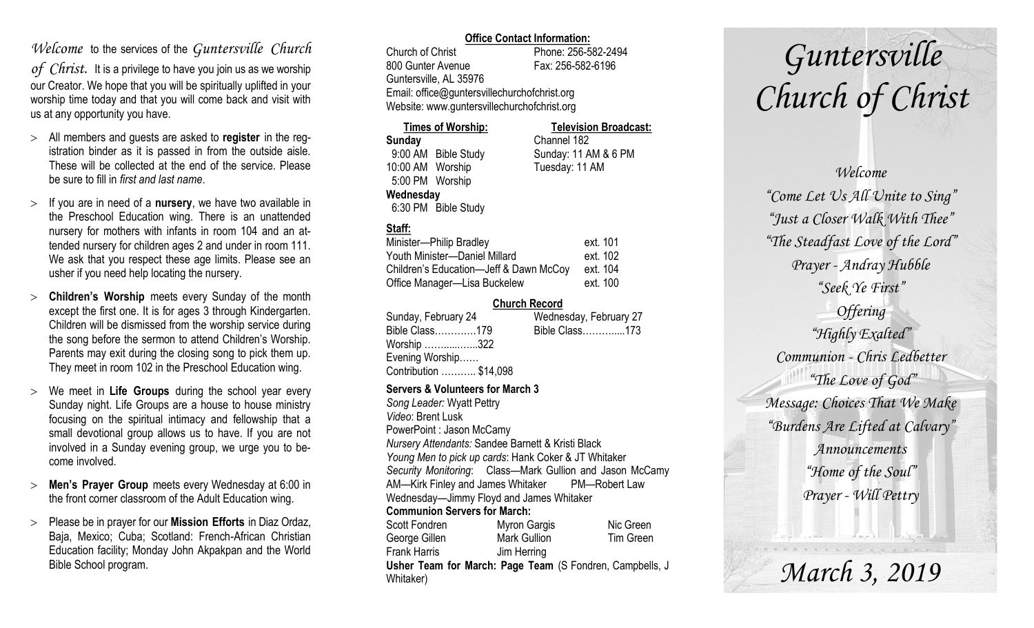### *Welcome* to the services of the *Guntersville Church*

*of Christ*. It is a privilege to have you join us as we worship our Creator. We hope that you will be spiritually uplifted in your worship time today and that you will come back and visit with us at any opportunity you have.

- All members and guests are asked to **register** in the registration binder as it is passed in from the outside aisle. These will be collected at the end of the service. Please be sure to fill in *first and last name*.
- $>$  If you are in need of a **nursery**, we have two available in the Preschool Education wing. There is an unattended nursery for mothers with infants in room 104 and an attended nursery for children ages 2 and under in room 111. We ask that you respect these age limits. Please see an usher if you need help locating the nursery.
- **Children's Worship** meets every Sunday of the month except the first one. It is for ages 3 through Kindergarten. Children will be dismissed from the worship service during the song before the sermon to attend Children's Worship. Parents may exit during the closing song to pick them up. They meet in room 102 in the Preschool Education wing.
- We meet in **Life Groups** during the school year every Sunday night. Life Groups are a house to house ministry focusing on the spiritual intimacy and fellowship that a small devotional group allows us to have. If you are not involved in a Sunday evening group, we urge you to become involved.
- **Men's Prayer Group** meets every Wednesday at 6:00 in the front corner classroom of the Adult Education wing.
- Please be in prayer for our **Mission Efforts** in Diaz Ordaz, Baja, Mexico; Cuba; Scotland: French-African Christian Education facility; Monday John Akpakpan and the World Bible School program.

### **Office Contact Information:**

Church of Christ Phone: 256-582-2494 800 Gunter Avenue Fax: 256-582-6196 Guntersville, AL 35976 Email: office@guntersvillechurchofchrist.org Website: www.guntersvillechurchofchrist.org

| <b>Times of Worship:</b> |                     | <b>Television Broadcast:</b> |  |
|--------------------------|---------------------|------------------------------|--|
| Sunday                   |                     | Channel 182                  |  |
|                          | 9:00 AM Bible Study | Sunday: 11 AM & 6 PM         |  |
| 10:00 AM Worship         |                     | Tuesday: 11 AM               |  |
| 5:00 PM Worship          |                     |                              |  |
| Wednesday                |                     |                              |  |
|                          | 6:30 PM Bible Study |                              |  |

### **Staff:**

| Minister-Philip Bradley                | ext. 101 |
|----------------------------------------|----------|
| Youth Minister-Daniel Millard          | ext. 102 |
| Children's Education-Jeff & Dawn McCoy | ext. 104 |
| Office Manager-Lisa Buckelew           | ext. 100 |

### **Church Record**

| Sunday, February 24    | Wednesday, February 27 |
|------------------------|------------------------|
| Bible Class179         | Bible Class173         |
| Worship 322            |                        |
| Evening Worship        |                        |
| Contribution  \$14,098 |                        |

#### **Servers & Volunteers for March 3**

*Song Leader:* Wyatt Pettry *Video*: Brent Lusk PowerPoint : Jason McCamy *Nursery Attendants:* Sandee Barnett & Kristi Black *Young Men to pick up cards*: Hank Coker & JT Whitaker *Security Monitoring*: Class—Mark Gullion and Jason McCamy AM—Kirk Finley and James Whitaker PM—Robert Law Wednesday—Jimmy Floyd and James Whitaker **Communion Servers for March:**  Scott Fondren Myron Gargis Nic Green George Gillen Mark Gullion Tim Green Frank Harris Jim Herring **Usher Team for March: Page Team** (S Fondren, Campbells, J Whitaker)

# *Guntersville Church of Christ*

*Welcome "Come Let Us All Unite to Sing" "Just a Closer Walk With Thee" "The Steadfast Love of the Lord" Prayer - Andray Hubble "Seek Ye First" Offering "Highly Exalted" Communion - Chris Ledbetter "The Love of God" Message: Choices That We Make "Burdens Are Lifted at Calvary" Announcements "Home of the Soul" Prayer - Will Pettry*

*March 3, 2019*